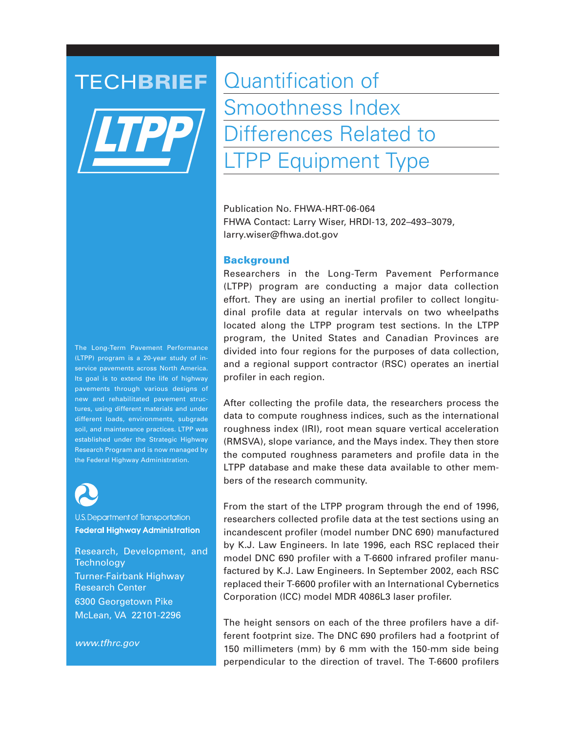

TECHBRIEF Quantification of Smoothness Index Differences Related to LTPP Equipment Type

> Publication No. FHWA-HRT-06-064 FHWA Contact: Larry Wiser, HRDI-13, 202–493–3079, larry.wiser@fhwa.dot.gov

#### **Background**

Researchers in the Long-Term Pavement Performance (LTPP) program are conducting a major data collection effort. They are using an inertial profiler to collect longitudinal profile data at regular intervals on two wheelpaths located along the LTPP program test sections. In the LTPP program, the United States and Canadian Provinces are divided into four regions for the purposes of data collection, and a regional support contractor (RSC) operates an inertial profiler in each region.

After collecting the profile data, the researchers process the data to compute roughness indices, such as the international roughness index (IRI), root mean square vertical acceleration (RMSVA), slope variance, and the Mays index. They then store the computed roughness parameters and profile data in the LTPP database and make these data available to other members of the research community.

From the start of the LTPP program through the end of 1996, researchers collected profile data at the test sections using an incandescent profiler (model number DNC 690) manufactured by K.J. Law Engineers. In late 1996, each RSC replaced their model DNC 690 profiler with a T-6600 infrared profiler manufactured by K.J. Law Engineers. In September 2002, each RSC replaced their T-6600 profiler with an International Cybernetics Corporation (ICC) model MDR 4086L3 laser profiler.

The height sensors on each of the three profilers have a different footprint size. The DNC 690 profilers had a footprint of 150 millimeters (mm) by 6 mm with the 150-mm side being perpendicular to the direction of travel. The T-6600 profilers

The Long-Term Pavement Performance (LTPP) program is a 20-year study of inservice pavements across North America. Its goal is to extend the life of highway pavements through various designs of new and rehabilitated pavement structures, using different materials and under different loads, environments, subgrade soil, and maintenance practices. LTPP was established under the Strategic Highway Research Program and is now managed by the Federal Highway Administration.



U.S. Department of Transportation **Federal Highway Administration** 

Research, Development, and **Technology** Turner-Fairbank Highway Research Center 6300 Georgetown Pike McLean, VA 22101-2296

*www.tfhrc.gov*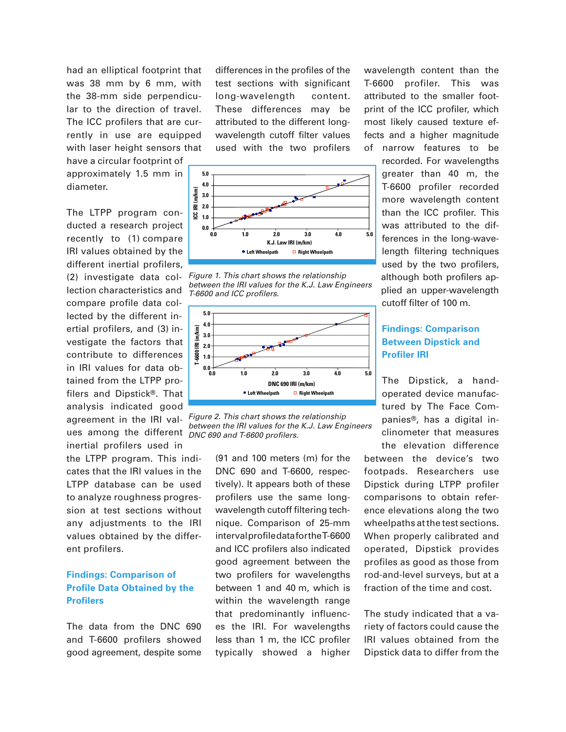had an elliptical footprint that was 38 mm by 6 mm, with the 38-mm side perpendicular to the direction of travel. The ICC profilers that are currently in use are equipped with laser height sensors that

have a circular footprint of approximately 1.5 mm in diameter.

The LTPP program conducted a research project recently to (1) compare IRI values obtained by the different inertial profilers, (2) investigate data collection characteristics and compare profile data collected by the different inertial profilers, and (3) investigate the factors that contribute to differences in IRI values for data obtained from the LTPP profilers and Dipstick®. That analysis indicated good ues among the different *DNC 690 and T-6600 profilers.* inertial profilers used in

the LTPP program. This indicates that the IRI values in the LTPP database can be used to analyze roughness progression at test sections without any adjustments to the IRI values obtained by the different profilers.

### **Findings: Comparison of Profile Data Obtained by the Profilers**

The data from the DNC 690 and T-6600 profilers showed good agreement, despite some

differences in the profiles of the test sections with significant long-wavelength content. These differences may be attributed to the different longwavelength cutoff filter values used with the two profilers



*Figure 1. This chart shows the relationship between the IRI values for the K.J. Law Engineers T-6600 and ICC profilers.*



agreement in the IRI val-*Figure 2. This chart shows the relationship between the IRI values for the K.J. Law Engineers* 

(91 and 100 meters (m) for the DNC 690 and T-6600, respectively). It appears both of these profilers use the same longwavelength cutoff filtering technique. Comparison of 25-mm interval profile data for the T-6600 and ICC profilers also indicated good agreement between the two profilers for wavelengths between 1 and 40 m, which is within the wavelength range that predominantly influences the IRI. For wavelengths less than 1 m, the ICC profiler typically showed a higher

wavelength content than the T-6600 profiler. This was attributed to the smaller footprint of the ICC profiler, which most likely caused texture effects and a higher magnitude of narrow features to be

> recorded. For wavelengths greater than 40 m, the T-6600 profiler recorded more wavelength content than the ICC profiler. This was attributed to the differences in the long-wavelength filtering techniques used by the two profilers, although both profilers applied an upper-wavelength cutoff filter of 100 m.

## **Findings: Comparison Between Dipstick and Profiler IRI**

The Dipstick, a handoperated device manufactured by The Face Companies®, has a digital inclinometer that measures

the elevation difference between the device's two footpads. Researchers use Dipstick during LTPP profiler comparisons to obtain reference elevations along the two wheelpaths at the test sections. When properly calibrated and operated, Dipstick provides profiles as good as those from rod-and-level surveys, but at a fraction of the time and cost.

The study indicated that a variety of factors could cause the IRI values obtained from the Dipstick data to differ from the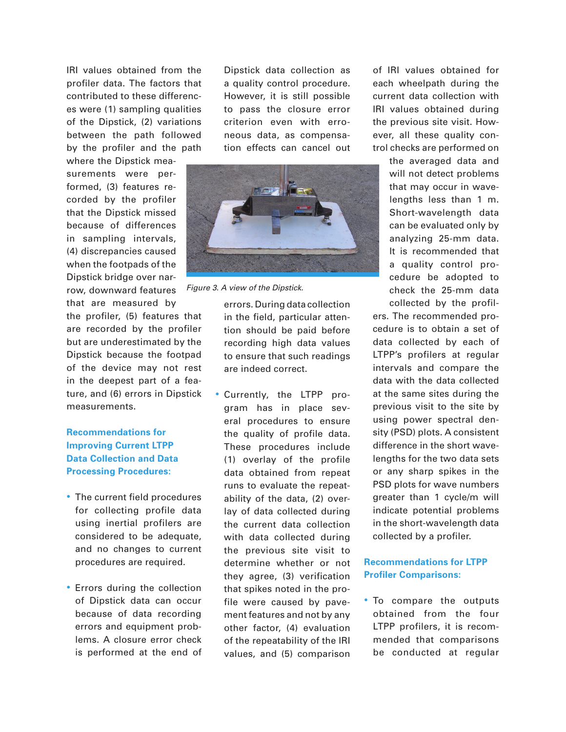IRI values obtained from the profiler data. The factors that contributed to these differences were (1) sampling qualities of the Dipstick, (2) variations between the path followed by the profiler and the path

where the Dipstick measurements were performed, (3) features recorded by the profiler that the Dipstick missed because of differences in sampling intervals, (4) discrepancies caused when the footpads of the Dipstick bridge over narrow, downward features that are measured by

the profiler, (5) features that are recorded by the profiler but are underestimated by the Dipstick because the footpad of the device may not rest in the deepest part of a feature, and (6) errors in Dipstick measurements.

# **Recommendations for Improving Current LTPP Data Collection and Data Processing Procedures:**

- The current field procedures for collecting profile data using inertial profilers are considered to be adequate, and no changes to current procedures are required.
- Errors during the collection of Dipstick data can occur because of data recording errors and equipment problems. A closure error check is performed at the end of

Dipstick data collection as a quality control procedure. However, it is still possible to pass the closure error criterion even with erroneous data, as compensation effects can cancel out



*Figure 3. A view of the Dipstick.*

errors. During data collection in the field, particular attention should be paid before recording high data values to ensure that such readings are indeed correct.

• Currently, the LTPP program has in place several procedures to ensure the quality of profile data. These procedures include (1) overlay of the profile data obtained from repeat runs to evaluate the repeatability of the data, (2) overlay of data collected during the current data collection with data collected during the previous site visit to determine whether or not they agree, (3) verification that spikes noted in the profile were caused by pavement features and not by any other factor, (4) evaluation of the repeatability of the IRI values, and (5) comparison

of IRI values obtained for each wheelpath during the current data collection with IRI values obtained during the previous site visit. However, all these quality control checks are performed on

> the averaged data and will not detect problems that may occur in wavelengths less than 1 m. Short-wavelength data can be evaluated only by analyzing 25-mm data. It is recommended that a quality control procedure be adopted to check the 25-mm data collected by the profil-

ers. The recommended procedure is to obtain a set of data collected by each of LTPP's profilers at regular intervals and compare the data with the data collected at the same sites during the previous visit to the site by using power spectral density (PSD) plots. A consistent difference in the short wavelengths for the two data sets or any sharp spikes in the PSD plots for wave numbers greater than 1 cycle/m will indicate potential problems in the short-wavelength data collected by a profiler.

# **Recommendations for LTPP Profiler Comparisons:**

• To compare the outputs obtained from the four LTPP profilers, it is recommended that comparisons be conducted at regular